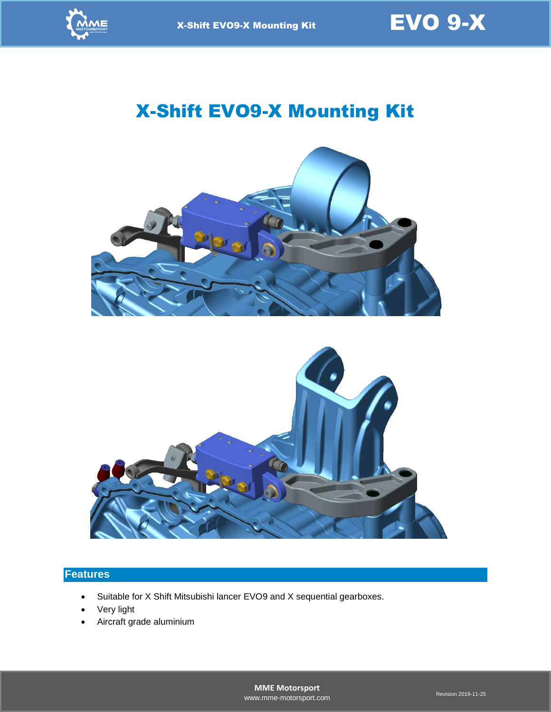

# X-Shift EVO9-X Mounting Kit





### **Features**

- Suitable for X Shift Mitsubishi lancer EVO9 and X sequential gearboxes.
- Very light
- Aircraft grade aluminium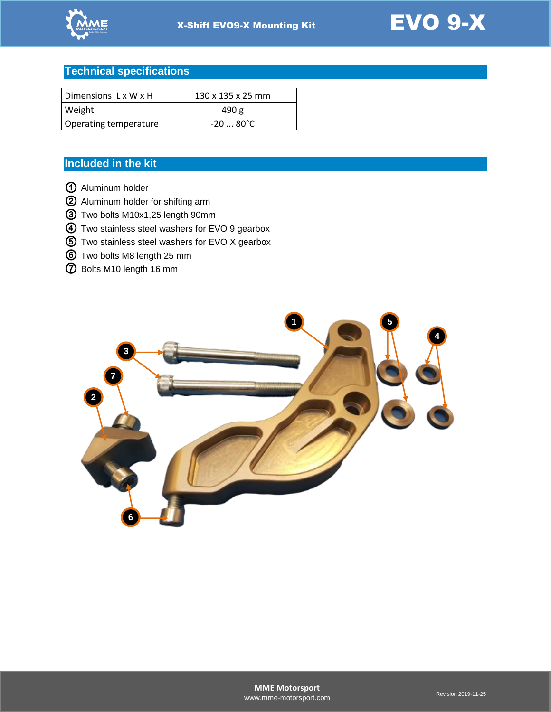



## **Technical specifications**

| Dimensions LxWxH      | $130 \times 135 \times 25$ mm |
|-----------------------|-------------------------------|
| Weight                | 490 g                         |
| Operating temperature | -20  80°C                     |

### **Included in the kit**

- Aluminum holder
- Aluminum holder for shifting arm
- Two bolts M10x1,25 length 90mm
- Two stainless steel washers for EVO 9 gearbox
- Two stainless steel washers for EVO X gearbox
- Two bolts M8 length 25 mm
- Bolts M10 length 16 mm

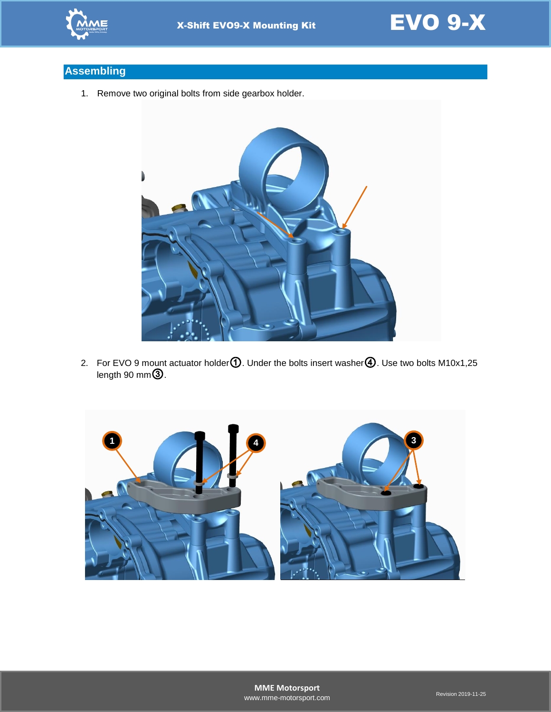



# **Assembling**

1. Remove two original bolts from side gearbox holder.



2. For EVO 9 mount actuator holder ①. Under the bolts insert washer 4. Use two bolts M10x1,25 length 90 mm③.

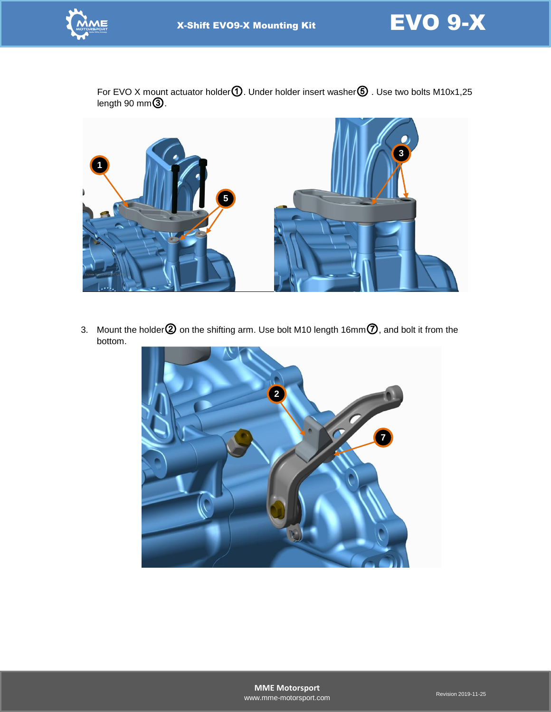



For EVO X mount actuator holder $\mathbf 0$ . Under holder insert washer $\mathbf 6$  . Use two bolts M10x1,25 length 90 mm $\overline{\textbf{3}}$  .



3. Mount the holder  $@$  on the shifting arm. Use bolt M10 length 16mm $@$ , and bolt it from the bottom.